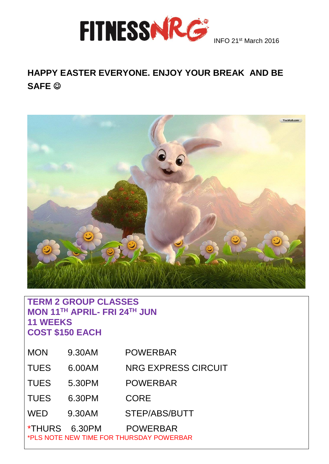

# **HAPPY EASTER EVERYONE. ENJOY YOUR BREAK AND BE SAFE**



#### **TERM 2 GROUP CLASSES MON 11TH APRIL- FRI 24TH JUN 11 WEEKS COST \$150 EACH**

| <b>MON</b>    | 9.30AM | <b>POWERBAR</b>                                             |
|---------------|--------|-------------------------------------------------------------|
| <b>TUES</b>   | 6.00AM | <b>NRG EXPRESS CIRCUIT</b>                                  |
| <b>TUES</b>   | 5.30PM | <b>POWERBAR</b>                                             |
| <b>TUES</b>   | 6.30PM | <b>CORE</b>                                                 |
| <b>WED</b>    | 9.30AM | STEP/ABS/BUTT                                               |
| *THURS 6.30PM |        | <b>POWERBAR</b><br>*PLS NOTE NEW TIME FOR THURSDAY POWERBAR |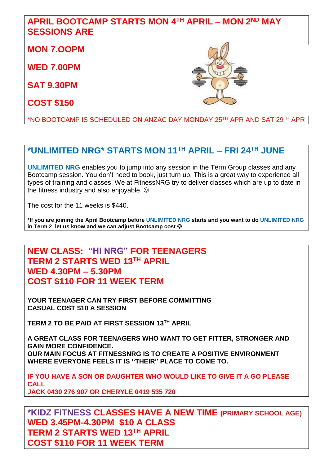### **APRIL BOOTCAMP STARTS MON 4 TH APRIL – MON 2 ND MAY SESSIONS ARE**

**MON 7.OOPM**

**WED 7.00PM** 

**SAT 9.30PM**

**COST \$150** 



\*NO BOOTCAMP IS SCHEDULED ON ANZAC DAY MONDAY 25TH APR AND SAT 29TH APR

### **\*UNLIMITED NRG\* STARTS MON 11TH APRIL – FRI 24TH JUNE**

**UNLIMITED NRG** enables you to jump into any session in the Term Group classes and any Bootcamp session. You don't need to book, just turn up. This is a great way to experience all types of training and classes. We at FitnessNRG try to deliver classes which are up to date in the fitness industry and also enjoyable.

The cost for the 11 weeks is \$440.

**\*If you are joining the April Bootcamp before UNLIMITED NRG starts and you want to do UNLIMITED NRG in Term 2 let us know and we can adjust Bootcamp cost** 

**NEW CLASS: "HI NRG" FOR TEENAGERS TERM 2 STARTS WED 13TH APRIL WED 4.30PM – 5.30PM COST \$110 FOR 11 WEEK TERM**

**YOUR TEENAGER CAN TRY FIRST BEFORE COMMITTING CASUAL COST \$10 A SESSION**

**TERM 2 TO BE PAID AT FIRST SESSION 13TH APRIL**

**A GREAT CLASS FOR TEENAGERS WHO WANT TO GET FITTER, STRONGER AND GAIN MORE CONFIDENCE. OUR MAIN FOCUS AT FITNESSNRG IS TO CREATE A POSITIVE ENVIRONMENT WHERE EVERYONE FEELS IT IS "THEIR" PLACE TO COME TO.**

**IF YOU HAVE A SON OR DAUGHTER WHO WOULD LIKE TO GIVE IT A GO PLEASE CALL JACK 0430 276 907 OR CHERYLE 0419 535 720**

**\*KIDZ FITNESS CLASSES HAVE A NEW TIME (PRIMARY SCHOOL AGE) WED 3.45PM-4.30PM \$10 A CLASS TERM 2 STARTS WED 13TH APRIL COST \$110 FOR 11 WEEK TERM**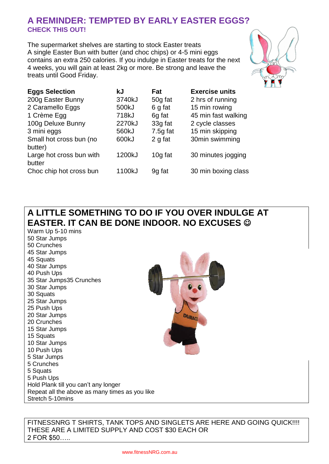#### **A REMINDER: TEMPTED BY EARLY EASTER EGGS? CHECK THIS OUT!**

The supermarket shelves are starting to stock Easter treats A single Easter Bun with butter (and choc chips) or 4-5 mini eggs contains an extra 250 calories. If you indulge in Easter treats for the next 4 weeks, you will gain at least 2kg or more. Be strong and leave the treats until Good Friday.



| <b>Eggs Selection</b>              | kJ     | Fat        | <b>Exercise units</b> |
|------------------------------------|--------|------------|-----------------------|
| 200g Easter Bunny                  | 3740kJ | 50g fat    | 2 hrs of running      |
| 2 Caramello Eggs                   | 500kJ  | 6 g fat    | 15 min rowing         |
| 1 Crème Egg                        | 718kJ  | 6g fat     | 45 min fast walking   |
| 100g Deluxe Bunny                  | 2270kJ | 33g fat    | 2 cycle classes       |
| 3 mini eggs                        | 560kJ  | $7.5g$ fat | 15 min skipping       |
| Small hot cross bun (no<br>butter) | 600kJ  | 2 g fat    | 30min swimming        |
| Large hot cross bun with           | 1200kJ | 10g fat    | 30 minutes jogging    |
| butter                             |        |            |                       |
| Choc chip hot cross bun            | 1100kJ | 9g fat     | 30 min boxing class   |

## **A LITTLE SOMETHING TO DO IF YOU OVER INDULGE AT EASTER. IT CAN BE DONE INDOOR. NO EXCUSES**

Warm Up 5-10 mins 50 Star Jumps 50 Crunches 45 Star Jumps 45 Squats 40 Star Jumps 40 Push Ups 35 Star Jumps35 Crunches 30 Star Jumps 30 Squats 25 Star Jumps 25 Push Ups 20 Star Jumps 20 Crunches 15 Star Jumps 15 Squats 10 Star Jumps 10 Push Ups 5 Star Jumps 5 Crunches 5 Squats 5 Push Ups Hold Plank till you can't any longer Repeat all the above as many times as you like Stretch 5-10mins

FITNESSNRG T SHIRTS, TANK TOPS AND SINGLETS ARE HERE AND GOING QUICK!!!! THESE ARE A LIMITED SUPPLY AND COST \$30 EACH OR 2 FOR \$50…..

**DURACE**